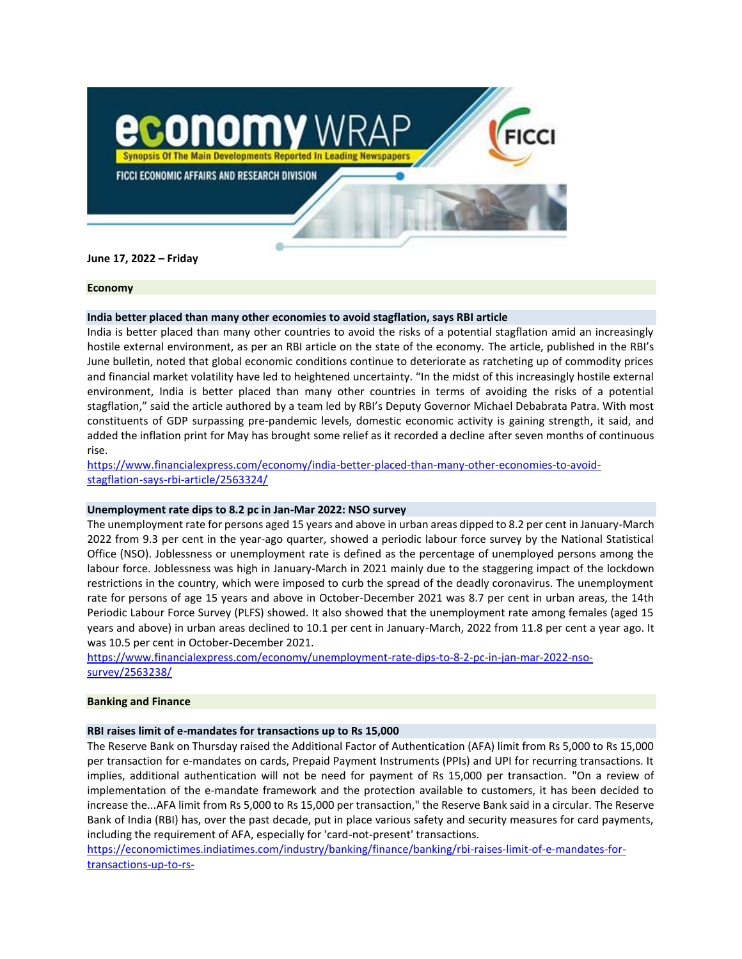

**June 17, 2022 – Friday**

### **Economy**

# **India better placed than many other economies to avoid stagflation, says RBI article**

India is better placed than many other countries to avoid the risks of a potential stagflation amid an increasingly hostile external environment, as per an RBI article on the state of the economy. The article, published in the RBI's June bulletin, noted that global economic conditions continue to deteriorate as ratcheting up of commodity prices and financial market volatility have led to heightened uncertainty. "In the midst of this increasingly hostile external environment, India is better placed than many other countries in terms of avoiding the risks of a potential stagflation," said the article authored by a team led by RBI's Deputy Governor Michael Debabrata Patra. With most constituents of GDP surpassing pre-pandemic levels, domestic economic activity is gaining strength, it said, and added the inflation print for May has brought some relief as it recorded a decline after seven months of continuous rise.

[https://www.financialexpress.com/economy/india-better-placed-than-many-other-economies-to-avoid](https://www.financialexpress.com/economy/india-better-placed-than-many-other-economies-to-avoid-stagflation-says-rbi-article/2563324/)[stagflation-says-rbi-article/2563324/](https://www.financialexpress.com/economy/india-better-placed-than-many-other-economies-to-avoid-stagflation-says-rbi-article/2563324/)

# **Unemployment rate dips to 8.2 pc in Jan-Mar 2022: NSO survey**

The unemployment rate for persons aged 15 years and above in urban areas dipped to 8.2 per cent in January-March 2022 from 9.3 per cent in the year-ago quarter, showed a periodic labour force survey by the National Statistical Office (NSO). Joblessness or unemployment rate is defined as the percentage of unemployed persons among the labour force. Joblessness was high in January-March in 2021 mainly due to the staggering impact of the lockdown restrictions in the country, which were imposed to curb the spread of the deadly coronavirus. The unemployment rate for persons of age 15 years and above in October-December 2021 was 8.7 per cent in urban areas, the 14th Periodic Labour Force Survey (PLFS) showed. It also showed that the unemployment rate among females (aged 15 years and above) in urban areas declined to 10.1 per cent in January-March, 2022 from 11.8 per cent a year ago. It was 10.5 per cent in October-December 2021.

[https://www.financialexpress.com/economy/unemployment-rate-dips-to-8-2-pc-in-jan-mar-2022-nso](https://www.financialexpress.com/economy/unemployment-rate-dips-to-8-2-pc-in-jan-mar-2022-nso-survey/2563238/)[survey/2563238/](https://www.financialexpress.com/economy/unemployment-rate-dips-to-8-2-pc-in-jan-mar-2022-nso-survey/2563238/)

# **Banking and Finance**

# **RBI raises limit of e-mandates for transactions up to Rs 15,000**

The Reserve Bank on Thursday raised the Additional Factor of Authentication (AFA) limit from Rs 5,000 to Rs 15,000 per transaction for e-mandates on cards, Prepaid Payment Instruments (PPIs) and UPI for recurring transactions. It implies, additional authentication will not be need for payment of Rs 15,000 per transaction. "On a review of implementation of the e-mandate framework and the protection available to customers, it has been decided to increase the...AFA limit from Rs 5,000 to Rs 15,000 per transaction," the Reserve Bank said in a circular. The Reserve Bank of India (RBI) has, over the past decade, put in place various safety and security measures for card payments, including the requirement of AFA, especially for 'card-not-present' transactions.

[https://economictimes.indiatimes.com/industry/banking/finance/banking/rbi-raises-limit-of-e-mandates-for](https://economictimes.indiatimes.com/industry/banking/finance/banking/rbi-raises-limit-of-e-mandates-for-transactions-up-to-rs-15000/articleshow/92260220.cms?utm_source=ETTopNews&utm_medium=HPTN&utm_campaign=AL1&utm_content=23)[transactions-up-to-rs-](https://economictimes.indiatimes.com/industry/banking/finance/banking/rbi-raises-limit-of-e-mandates-for-transactions-up-to-rs-15000/articleshow/92260220.cms?utm_source=ETTopNews&utm_medium=HPTN&utm_campaign=AL1&utm_content=23)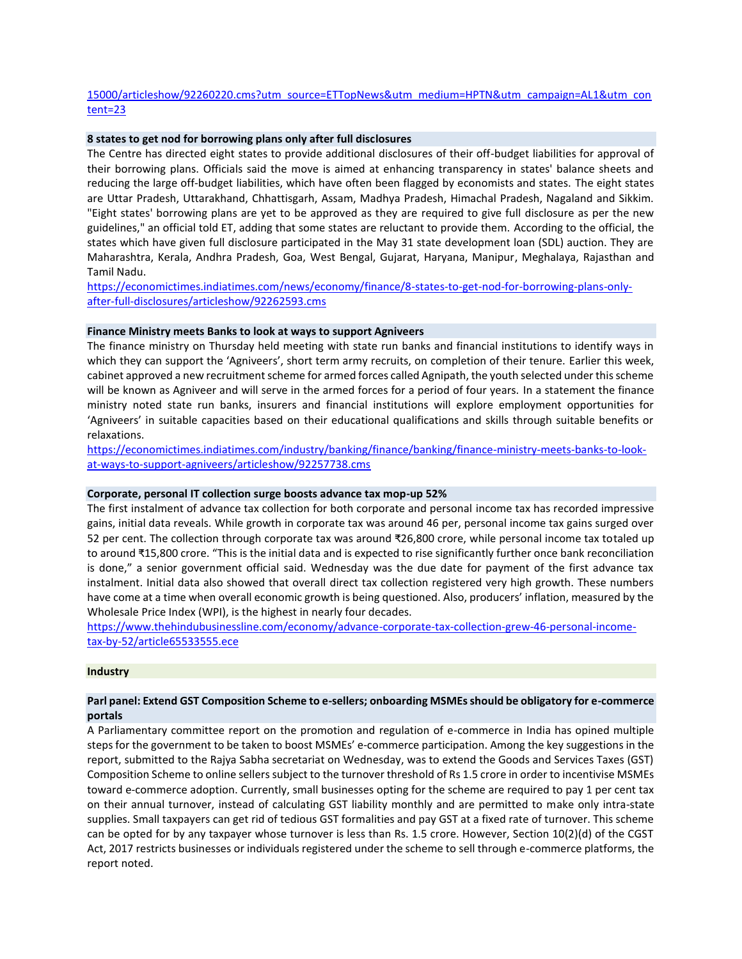# [15000/articleshow/92260220.cms?utm\\_source=ETTopNews&utm\\_medium=HPTN&utm\\_campaign=AL1&utm\\_con](https://economictimes.indiatimes.com/industry/banking/finance/banking/rbi-raises-limit-of-e-mandates-for-transactions-up-to-rs-15000/articleshow/92260220.cms?utm_source=ETTopNews&utm_medium=HPTN&utm_campaign=AL1&utm_content=23) [tent=23](https://economictimes.indiatimes.com/industry/banking/finance/banking/rbi-raises-limit-of-e-mandates-for-transactions-up-to-rs-15000/articleshow/92260220.cms?utm_source=ETTopNews&utm_medium=HPTN&utm_campaign=AL1&utm_content=23)

# **8 states to get nod for borrowing plans only after full disclosures**

The Centre has directed eight states to provide additional disclosures of their off-budget liabilities for approval of their borrowing plans. Officials said the move is aimed at enhancing transparency in states' balance sheets and reducing the large off-budget liabilities, which have often been flagged by economists and states. The eight states are Uttar Pradesh, Uttarakhand, Chhattisgarh, Assam, Madhya Pradesh, Himachal Pradesh, Nagaland and Sikkim. "Eight states' borrowing plans are yet to be approved as they are required to give full disclosure as per the new guidelines," an official told ET, adding that some states are reluctant to provide them. According to the official, the states which have given full disclosure participated in the May 31 state development loan (SDL) auction. They are Maharashtra, Kerala, Andhra Pradesh, Goa, West Bengal, Gujarat, Haryana, Manipur, Meghalaya, Rajasthan and Tamil Nadu.

[https://economictimes.indiatimes.com/news/economy/finance/8-states-to-get-nod-for-borrowing-plans-only](https://economictimes.indiatimes.com/news/economy/finance/8-states-to-get-nod-for-borrowing-plans-only-after-full-disclosures/articleshow/92262593.cms)[after-full-disclosures/articleshow/92262593.cms](https://economictimes.indiatimes.com/news/economy/finance/8-states-to-get-nod-for-borrowing-plans-only-after-full-disclosures/articleshow/92262593.cms)

## **Finance Ministry meets Banks to look at ways to support Agniveers**

The finance ministry on Thursday held meeting with state run banks and financial institutions to identify ways in which they can support the 'Agniveers', short term army recruits, on completion of their tenure. Earlier this week, cabinet approved a new recruitment scheme for armed forces called Agnipath, the youth selected under this scheme will be known as Agniveer and will serve in the armed forces for a period of four years. In a statement the finance ministry noted state run banks, insurers and financial institutions will explore employment opportunities for 'Agniveers' in suitable capacities based on their educational qualifications and skills through suitable benefits or relaxations.

[https://economictimes.indiatimes.com/industry/banking/finance/banking/finance-ministry-meets-banks-to-look](https://economictimes.indiatimes.com/industry/banking/finance/banking/finance-ministry-meets-banks-to-look-at-ways-to-support-agniveers/articleshow/92257738.cms)[at-ways-to-support-agniveers/articleshow/92257738.cms](https://economictimes.indiatimes.com/industry/banking/finance/banking/finance-ministry-meets-banks-to-look-at-ways-to-support-agniveers/articleshow/92257738.cms)

# **Corporate, personal IT collection surge boosts advance tax mop-up 52%**

The first instalment of advance tax collection for both corporate and personal income tax has recorded impressive gains, initial data reveals. While growth in corporate tax was around 46 per, personal income tax gains surged over 52 per cent. The collection through corporate tax was around ₹26,800 crore, while personal income tax totaled up to around ₹15,800 crore. "This is the initial data and is expected to rise significantly further once bank reconciliation is done," a senior government official said. Wednesday was the due date for payment of the first advance tax instalment. Initial data also showed that overall direct tax collection registered very high growth. These numbers have come at a time when overall economic growth is being questioned. Also, producers' inflation, measured by the Wholesale Price Index (WPI), is the highest in nearly four decades.

[https://www.thehindubusinessline.com/economy/advance-corporate-tax-collection-grew-46-personal-income](https://www.thehindubusinessline.com/economy/advance-corporate-tax-collection-grew-46-personal-income-tax-by-52/article65533555.ece)[tax-by-52/article65533555.ece](https://www.thehindubusinessline.com/economy/advance-corporate-tax-collection-grew-46-personal-income-tax-by-52/article65533555.ece)

# **Industry**

# **Parl panel: Extend GST Composition Scheme to e-sellers; onboarding MSMEs should be obligatory for e-commerce portals**

A Parliamentary committee report on the promotion and regulation of e-commerce in India has opined multiple steps for the government to be taken to boost MSMEs' e-commerce participation. Among the key suggestions in the report, submitted to the Rajya Sabha secretariat on Wednesday, was to extend the Goods and Services Taxes (GST) Composition Scheme to online sellers subject to the turnover threshold of Rs 1.5 crore in order to incentivise MSMEs toward e-commerce adoption. Currently, small businesses opting for the scheme are required to pay 1 per cent tax on their annual turnover, instead of calculating GST liability monthly and are permitted to make only intra-state supplies. Small taxpayers can get rid of tedious GST formalities and pay GST at a fixed rate of turnover. This scheme can be opted for by any taxpayer whose turnover is less than Rs. 1.5 crore. However, Section 10(2)(d) of the CGST Act, 2017 restricts businesses or individuals registered under the scheme to sell through e-commerce platforms, the report noted.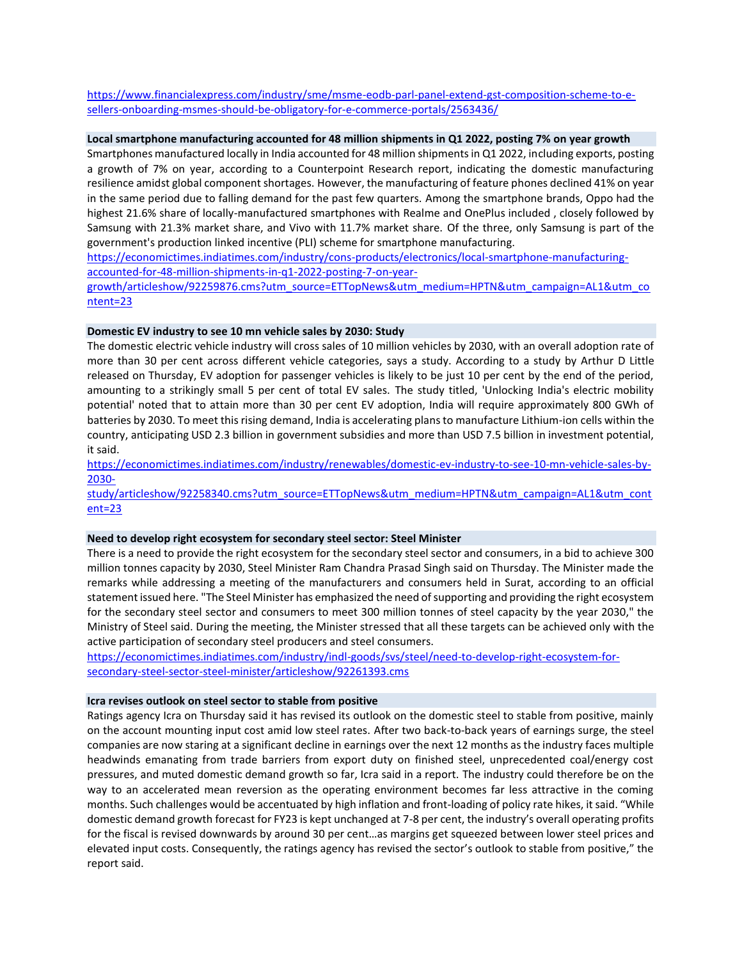[https://www.financialexpress.com/industry/sme/msme-eodb-parl-panel-extend-gst-composition-scheme-to-e](https://www.financialexpress.com/industry/sme/msme-eodb-parl-panel-extend-gst-composition-scheme-to-e-sellers-onboarding-msmes-should-be-obligatory-for-e-commerce-portals/2563436/)[sellers-onboarding-msmes-should-be-obligatory-for-e-commerce-portals/2563436/](https://www.financialexpress.com/industry/sme/msme-eodb-parl-panel-extend-gst-composition-scheme-to-e-sellers-onboarding-msmes-should-be-obligatory-for-e-commerce-portals/2563436/)

## **Local smartphone manufacturing accounted for 48 million shipments in Q1 2022, posting 7% on year growth**

Smartphones manufactured locally in India accounted for 48 million shipments in Q1 2022, including exports, posting a growth of 7% on year, according to a Counterpoint Research report, indicating the domestic manufacturing resilience amidst global component shortages. However, the manufacturing of feature phones declined 41% on year in the same period due to falling demand for the past few quarters. Among the smartphone brands, Oppo had the highest 21.6% share of locally-manufactured smartphones with Realme and OnePlus included , closely followed by Samsung with 21.3% market share, and Vivo with 11.7% market share. Of the three, only Samsung is part of the government's production linked incentive (PLI) scheme for smartphone manufacturing.

[https://economictimes.indiatimes.com/industry/cons-products/electronics/local-smartphone-manufacturing](https://economictimes.indiatimes.com/industry/cons-products/electronics/local-smartphone-manufacturing-accounted-for-48-million-shipments-in-q1-2022-posting-7-on-year-growth/articleshow/92259876.cms?utm_source=ETTopNews&utm_medium=HPTN&utm_campaign=AL1&utm_content=23)[accounted-for-48-million-shipments-in-q1-2022-posting-7-on-year-](https://economictimes.indiatimes.com/industry/cons-products/electronics/local-smartphone-manufacturing-accounted-for-48-million-shipments-in-q1-2022-posting-7-on-year-growth/articleshow/92259876.cms?utm_source=ETTopNews&utm_medium=HPTN&utm_campaign=AL1&utm_content=23)

[growth/articleshow/92259876.cms?utm\\_source=ETTopNews&utm\\_medium=HPTN&utm\\_campaign=AL1&utm\\_co](https://economictimes.indiatimes.com/industry/cons-products/electronics/local-smartphone-manufacturing-accounted-for-48-million-shipments-in-q1-2022-posting-7-on-year-growth/articleshow/92259876.cms?utm_source=ETTopNews&utm_medium=HPTN&utm_campaign=AL1&utm_content=23) [ntent=23](https://economictimes.indiatimes.com/industry/cons-products/electronics/local-smartphone-manufacturing-accounted-for-48-million-shipments-in-q1-2022-posting-7-on-year-growth/articleshow/92259876.cms?utm_source=ETTopNews&utm_medium=HPTN&utm_campaign=AL1&utm_content=23)

## **Domestic EV industry to see 10 mn vehicle sales by 2030: Study**

The domestic electric vehicle industry will cross sales of 10 million vehicles by 2030, with an overall adoption rate of more than 30 per cent across different vehicle categories, says a study. According to a study by Arthur D Little released on Thursday, EV adoption for passenger vehicles is likely to be just 10 per cent by the end of the period, amounting to a strikingly small 5 per cent of total EV sales. The study titled, 'Unlocking India's electric mobility potential' noted that to attain more than 30 per cent EV adoption, India will require approximately 800 GWh of batteries by 2030. To meet this rising demand, India is accelerating plans to manufacture Lithium-ion cells within the country, anticipating USD 2.3 billion in government subsidies and more than USD 7.5 billion in investment potential, it said.

[https://economictimes.indiatimes.com/industry/renewables/domestic-ev-industry-to-see-10-mn-vehicle-sales-by-](https://economictimes.indiatimes.com/industry/renewables/domestic-ev-industry-to-see-10-mn-vehicle-sales-by-2030-study/articleshow/92258340.cms?utm_source=ETTopNews&utm_medium=HPTN&utm_campaign=AL1&utm_content=23)[2030-](https://economictimes.indiatimes.com/industry/renewables/domestic-ev-industry-to-see-10-mn-vehicle-sales-by-2030-study/articleshow/92258340.cms?utm_source=ETTopNews&utm_medium=HPTN&utm_campaign=AL1&utm_content=23)

[study/articleshow/92258340.cms?utm\\_source=ETTopNews&utm\\_medium=HPTN&utm\\_campaign=AL1&utm\\_cont](https://economictimes.indiatimes.com/industry/renewables/domestic-ev-industry-to-see-10-mn-vehicle-sales-by-2030-study/articleshow/92258340.cms?utm_source=ETTopNews&utm_medium=HPTN&utm_campaign=AL1&utm_content=23) [ent=23](https://economictimes.indiatimes.com/industry/renewables/domestic-ev-industry-to-see-10-mn-vehicle-sales-by-2030-study/articleshow/92258340.cms?utm_source=ETTopNews&utm_medium=HPTN&utm_campaign=AL1&utm_content=23)

#### **Need to develop right ecosystem for secondary steel sector: Steel Minister**

There is a need to provide the right ecosystem for the secondary steel sector and consumers, in a bid to achieve 300 million tonnes capacity by 2030, Steel Minister Ram Chandra Prasad Singh said on Thursday. The Minister made the remarks while addressing a meeting of the manufacturers and consumers held in Surat, according to an official statement issued here. "The Steel Minister has emphasized the need of supporting and providing the right ecosystem for the secondary steel sector and consumers to meet 300 million tonnes of steel capacity by the year 2030," the Ministry of Steel said. During the meeting, the Minister stressed that all these targets can be achieved only with the active participation of secondary steel producers and steel consumers.

[https://economictimes.indiatimes.com/industry/indl-goods/svs/steel/need-to-develop-right-ecosystem-for](https://economictimes.indiatimes.com/industry/indl-goods/svs/steel/need-to-develop-right-ecosystem-for-secondary-steel-sector-steel-minister/articleshow/92261393.cms)[secondary-steel-sector-steel-minister/articleshow/92261393.cms](https://economictimes.indiatimes.com/industry/indl-goods/svs/steel/need-to-develop-right-ecosystem-for-secondary-steel-sector-steel-minister/articleshow/92261393.cms)

### **Icra revises outlook on steel sector to stable from positive**

Ratings agency Icra on Thursday said it has revised its outlook on the domestic steel to stable from positive, mainly on the account mounting input cost amid low steel rates. After two back-to-back years of earnings surge, the steel companies are now staring at a significant decline in earnings over the next 12 months as the industry faces multiple headwinds emanating from trade barriers from export duty on finished steel, unprecedented coal/energy cost pressures, and muted domestic demand growth so far, Icra said in a report. The industry could therefore be on the way to an accelerated mean reversion as the operating environment becomes far less attractive in the coming months. Such challenges would be accentuated by high inflation and front-loading of policy rate hikes, it said. "While domestic demand growth forecast for FY23 is kept unchanged at 7-8 per cent, the industry's overall operating profits for the fiscal is revised downwards by around 30 per cent…as margins get squeezed between lower steel prices and elevated input costs. Consequently, the ratings agency has revised the sector's outlook to stable from positive," the report said.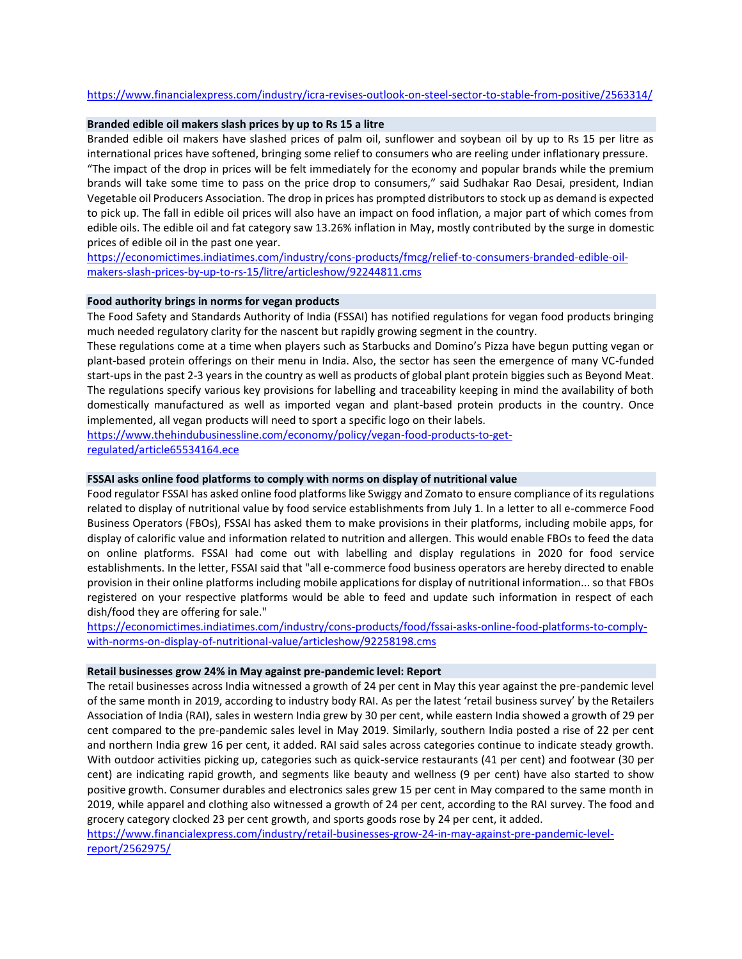## <https://www.financialexpress.com/industry/icra-revises-outlook-on-steel-sector-to-stable-from-positive/2563314/>

### **Branded edible oil makers slash prices by up to Rs 15 a litre**

Branded edible oil makers have slashed prices of palm oil, sunflower and soybean oil by up to Rs 15 per litre as international prices have softened, bringing some relief to consumers who are reeling under inflationary pressure. "The impact of the drop in prices will be felt immediately for the economy and popular brands while the premium brands will take some time to pass on the price drop to consumers," said Sudhakar Rao Desai, president, Indian Vegetable oil Producers Association. The drop in prices has prompted distributors to stock up as demand is expected to pick up. The fall in edible oil prices will also have an impact on food inflation, a major part of which comes from edible oils. The edible oil and fat category saw 13.26% inflation in May, mostly contributed by the surge in domestic prices of edible oil in the past one year.

[https://economictimes.indiatimes.com/industry/cons-products/fmcg/relief-to-consumers-branded-edible-oil](https://economictimes.indiatimes.com/industry/cons-products/fmcg/relief-to-consumers-branded-edible-oil-makers-slash-prices-by-up-to-rs-15/litre/articleshow/92244811.cms)[makers-slash-prices-by-up-to-rs-15/litre/articleshow/92244811.cms](https://economictimes.indiatimes.com/industry/cons-products/fmcg/relief-to-consumers-branded-edible-oil-makers-slash-prices-by-up-to-rs-15/litre/articleshow/92244811.cms)

## **Food authority brings in norms for vegan products**

The Food Safety and Standards Authority of India (FSSAI) has notified regulations for vegan food products bringing much needed regulatory clarity for the nascent but rapidly growing segment in the country.

These regulations come at a time when players such as Starbucks and Domino's Pizza have begun putting vegan or plant-based protein offerings on their menu in India. Also, the sector has seen the emergence of many VC-funded start-ups in the past 2-3 years in the country as well as products of global plant protein biggies such as Beyond Meat. The regulations specify various key provisions for labelling and traceability keeping in mind the availability of both domestically manufactured as well as imported vegan and plant-based protein products in the country. Once implemented, all vegan products will need to sport a specific logo on their labels.

[https://www.thehindubusinessline.com/economy/policy/vegan-food-products-to-get](https://www.thehindubusinessline.com/economy/policy/vegan-food-products-to-get-regulated/article65534164.ece)[regulated/article65534164.ece](https://www.thehindubusinessline.com/economy/policy/vegan-food-products-to-get-regulated/article65534164.ece)

## **FSSAI asks online food platforms to comply with norms on display of nutritional value**

Food regulator FSSAI has asked online food platforms like Swiggy and Zomato to ensure compliance of its regulations related to display of nutritional value by food service establishments from July 1. In a letter to all e-commerce Food Business Operators (FBOs), FSSAI has asked them to make provisions in their platforms, including mobile apps, for display of calorific value and information related to nutrition and allergen. This would enable FBOs to feed the data on online platforms. FSSAI had come out with labelling and display regulations in 2020 for food service establishments. In the letter, FSSAI said that "all e-commerce food business operators are hereby directed to enable provision in their online platforms including mobile applications for display of nutritional information... so that FBOs registered on your respective platforms would be able to feed and update such information in respect of each dish/food they are offering for sale."

[https://economictimes.indiatimes.com/industry/cons-products/food/fssai-asks-online-food-platforms-to-comply](https://economictimes.indiatimes.com/industry/cons-products/food/fssai-asks-online-food-platforms-to-comply-with-norms-on-display-of-nutritional-value/articleshow/92258198.cms)[with-norms-on-display-of-nutritional-value/articleshow/92258198.cms](https://economictimes.indiatimes.com/industry/cons-products/food/fssai-asks-online-food-platforms-to-comply-with-norms-on-display-of-nutritional-value/articleshow/92258198.cms)

### **Retail businesses grow 24% in May against pre-pandemic level: Report**

The retail businesses across India witnessed a growth of 24 per cent in May this year against the pre-pandemic level of the same month in 2019, according to industry body RAI. As per the latest 'retail business survey' by the Retailers Association of India (RAI), sales in western India grew by 30 per cent, while eastern India showed a growth of 29 per cent compared to the pre-pandemic sales level in May 2019. Similarly, southern India posted a rise of 22 per cent and northern India grew 16 per cent, it added. RAI said sales across categories continue to indicate steady growth. With outdoor activities picking up, categories such as quick-service restaurants (41 per cent) and footwear (30 per cent) are indicating rapid growth, and segments like beauty and wellness (9 per cent) have also started to show positive growth. Consumer durables and electronics sales grew 15 per cent in May compared to the same month in 2019, while apparel and clothing also witnessed a growth of 24 per cent, according to the RAI survey. The food and grocery category clocked 23 per cent growth, and sports goods rose by 24 per cent, it added.

[https://www.financialexpress.com/industry/retail-businesses-grow-24-in-may-against-pre-pandemic-level](https://www.financialexpress.com/industry/retail-businesses-grow-24-in-may-against-pre-pandemic-level-report/2562975/)[report/2562975/](https://www.financialexpress.com/industry/retail-businesses-grow-24-in-may-against-pre-pandemic-level-report/2562975/)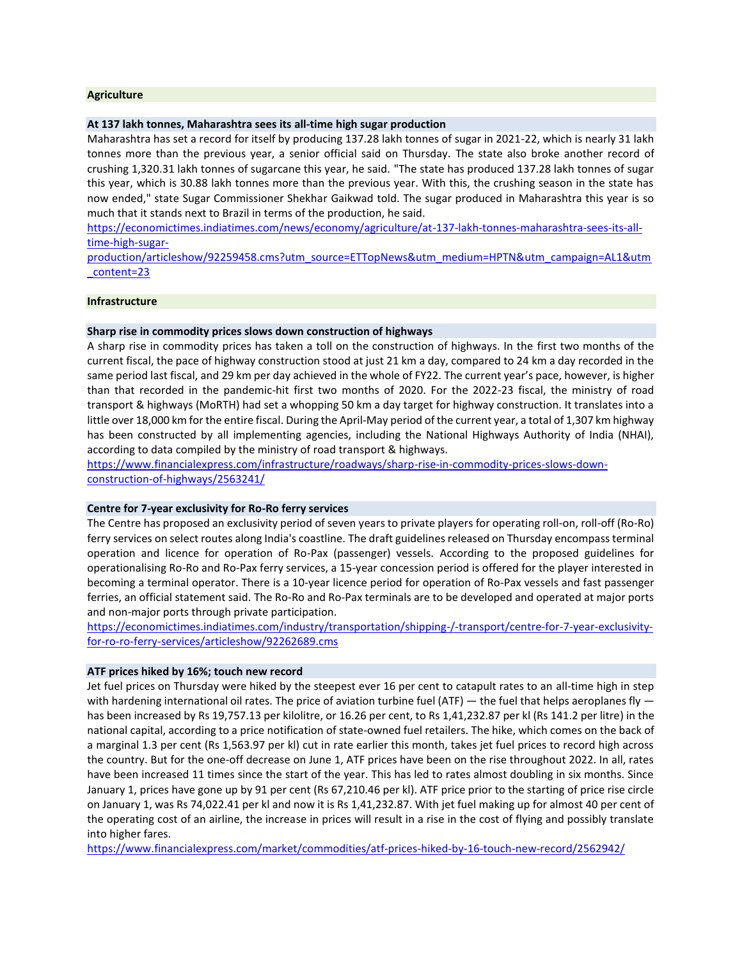### **Agriculture**

#### **At 137 lakh tonnes, Maharashtra sees its all-time high sugar production**

Maharashtra has set a record for itself by producing 137.28 lakh tonnes of sugar in 2021-22, which is nearly 31 lakh tonnes more than the previous year, a senior official said on Thursday. The state also broke another record of crushing 1,320.31 lakh tonnes of sugarcane this year, he said. "The state has produced 137.28 lakh tonnes of sugar this year, which is 30.88 lakh tonnes more than the previous year. With this, the crushing season in the state has now ended," state Sugar Commissioner Shekhar Gaikwad told. The sugar produced in Maharashtra this year is so much that it stands next to Brazil in terms of the production, he said.

[https://economictimes.indiatimes.com/news/economy/agriculture/at-137-lakh-tonnes-maharashtra-sees-its-all](https://economictimes.indiatimes.com/news/economy/agriculture/at-137-lakh-tonnes-maharashtra-sees-its-all-time-high-sugar-production/articleshow/92259458.cms?utm_source=ETTopNews&utm_medium=HPTN&utm_campaign=AL1&utm_content=23)[time-high-sugar-](https://economictimes.indiatimes.com/news/economy/agriculture/at-137-lakh-tonnes-maharashtra-sees-its-all-time-high-sugar-production/articleshow/92259458.cms?utm_source=ETTopNews&utm_medium=HPTN&utm_campaign=AL1&utm_content=23)

[production/articleshow/92259458.cms?utm\\_source=ETTopNews&utm\\_medium=HPTN&utm\\_campaign=AL1&utm](https://economictimes.indiatimes.com/news/economy/agriculture/at-137-lakh-tonnes-maharashtra-sees-its-all-time-high-sugar-production/articleshow/92259458.cms?utm_source=ETTopNews&utm_medium=HPTN&utm_campaign=AL1&utm_content=23) [\\_content=23](https://economictimes.indiatimes.com/news/economy/agriculture/at-137-lakh-tonnes-maharashtra-sees-its-all-time-high-sugar-production/articleshow/92259458.cms?utm_source=ETTopNews&utm_medium=HPTN&utm_campaign=AL1&utm_content=23)

#### **Infrastructure**

## **Sharp rise in commodity prices slows down construction of highways**

A sharp rise in commodity prices has taken a toll on the construction of highways. In the first two months of the current fiscal, the pace of highway construction stood at just 21 km a day, compared to 24 km a day recorded in the same period last fiscal, and 29 km per day achieved in the whole of FY22. The current year's pace, however, is higher than that recorded in the pandemic-hit first two months of 2020. For the 2022-23 fiscal, the ministry of road transport & highways (MoRTH) had set a whopping 50 km a day target for highway construction. It translates into a little over 18,000 km for the entire fiscal. During the April-May period of the current year, a total of 1,307 km highway has been constructed by all implementing agencies, including the National Highways Authority of India (NHAI), according to data compiled by the ministry of road transport & highways.

[https://www.financialexpress.com/infrastructure/roadways/sharp-rise-in-commodity-prices-slows-down](https://www.financialexpress.com/infrastructure/roadways/sharp-rise-in-commodity-prices-slows-down-construction-of-highways/2563241/)[construction-of-highways/2563241/](https://www.financialexpress.com/infrastructure/roadways/sharp-rise-in-commodity-prices-slows-down-construction-of-highways/2563241/)

## **Centre for 7-year exclusivity for Ro-Ro ferry services**

The Centre has proposed an exclusivity period of seven years to private players for operating roll-on, roll-off (Ro-Ro) ferry services on select routes along India's coastline. The draft guidelines released on Thursday encompass terminal operation and licence for operation of Ro-Pax (passenger) vessels. According to the proposed guidelines for operationalising Ro-Ro and Ro-Pax ferry services, a 15-year concession period is offered for the player interested in becoming a terminal operator. There is a 10-year licence period for operation of Ro-Pax vessels and fast passenger ferries, an official statement said. The Ro-Ro and Ro-Pax terminals are to be developed and operated at major ports and non-major ports through private participation.

[https://economictimes.indiatimes.com/industry/transportation/shipping-/-transport/centre-for-7-year-exclusivity](https://economictimes.indiatimes.com/industry/transportation/shipping-/-transport/centre-for-7-year-exclusivity-for-ro-ro-ferry-services/articleshow/92262689.cms)[for-ro-ro-ferry-services/articleshow/92262689.cms](https://economictimes.indiatimes.com/industry/transportation/shipping-/-transport/centre-for-7-year-exclusivity-for-ro-ro-ferry-services/articleshow/92262689.cms)

### **ATF prices hiked by 16%; touch new record**

Jet fuel prices on Thursday were hiked by the steepest ever 16 per cent to catapult rates to an all-time high in step with hardening international oil rates. The price of aviation turbine fuel (ATF) — the fuel that helps aeroplanes fly  $$ has been increased by Rs 19,757.13 per kilolitre, or 16.26 per cent, to Rs 1,41,232.87 per kl (Rs 141.2 per litre) in the national capital, according to a price notification of state-owned fuel retailers. The hike, which comes on the back of a marginal 1.3 per cent (Rs 1,563.97 per kl) cut in rate earlier this month, takes jet fuel prices to record high across the country. But for the one-off decrease on June 1, ATF prices have been on the rise throughout 2022. In all, rates have been increased 11 times since the start of the year. This has led to rates almost doubling in six months. Since January 1, prices have gone up by 91 per cent (Rs 67,210.46 per kl). ATF price prior to the starting of price rise circle on January 1, was Rs 74,022.41 per kl and now it is Rs 1,41,232.87. With jet fuel making up for almost 40 per cent of the operating cost of an airline, the increase in prices will result in a rise in the cost of flying and possibly translate into higher fares.

<https://www.financialexpress.com/market/commodities/atf-prices-hiked-by-16-touch-new-record/2562942/>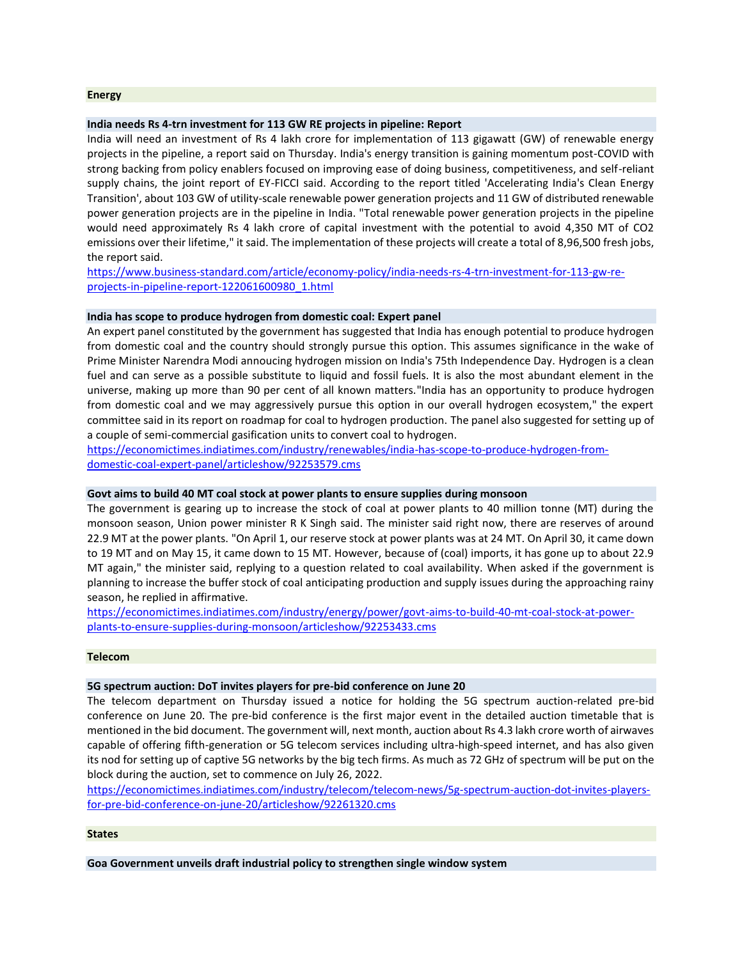#### **Energy**

### **India needs Rs 4-trn investment for 113 GW RE projects in pipeline: Report**

India will need an investment of Rs 4 lakh crore for implementation of 113 gigawatt (GW) of renewable energy projects in the pipeline, a report said on Thursday. India's energy transition is gaining momentum post-COVID with strong backing from policy enablers focused on improving ease of doing business, competitiveness, and self-reliant supply chains, the joint report of EY-FICCI said. According to the report titled 'Accelerating India's Clean Energy Transition', about 103 GW of utility-scale renewable power generation projects and 11 GW of distributed renewable power generation projects are in the pipeline in India. "Total renewable power generation projects in the pipeline would need approximately Rs 4 lakh crore of capital investment with the potential to avoid 4,350 MT of CO2 emissions over their lifetime," it said. The implementation of these projects will create a total of 8,96,500 fresh jobs, the report said.

[https://www.business-standard.com/article/economy-policy/india-needs-rs-4-trn-investment-for-113-gw-re](https://www.business-standard.com/article/economy-policy/india-needs-rs-4-trn-investment-for-113-gw-re-projects-in-pipeline-report-122061600980_1.html)[projects-in-pipeline-report-122061600980\\_1.html](https://www.business-standard.com/article/economy-policy/india-needs-rs-4-trn-investment-for-113-gw-re-projects-in-pipeline-report-122061600980_1.html)

# **India has scope to produce hydrogen from domestic coal: Expert panel**

An expert panel constituted by the government has suggested that India has enough potential to produce hydrogen from domestic coal and the country should strongly pursue this option. This assumes significance in the wake of Prime Minister Narendra Modi annoucing hydrogen mission on India's 75th Independence Day. Hydrogen is a clean fuel and can serve as a possible substitute to liquid and fossil fuels. It is also the most abundant element in the universe, making up more than 90 per cent of all known matters."India has an opportunity to produce hydrogen from domestic coal and we may aggressively pursue this option in our overall hydrogen ecosystem," the expert committee said in its report on roadmap for coal to hydrogen production. The panel also suggested for setting up of a couple of semi-commercial gasification units to convert coal to hydrogen.

[https://economictimes.indiatimes.com/industry/renewables/india-has-scope-to-produce-hydrogen-from](https://economictimes.indiatimes.com/industry/renewables/india-has-scope-to-produce-hydrogen-from-domestic-coal-expert-panel/articleshow/92253579.cms)[domestic-coal-expert-panel/articleshow/92253579.cms](https://economictimes.indiatimes.com/industry/renewables/india-has-scope-to-produce-hydrogen-from-domestic-coal-expert-panel/articleshow/92253579.cms)

# **Govt aims to build 40 MT coal stock at power plants to ensure supplies during monsoon**

The government is gearing up to increase the stock of coal at power plants to 40 million tonne (MT) during the monsoon season, Union power minister R K Singh said. The minister said right now, there are reserves of around 22.9 MT at the power plants. "On April 1, our reserve stock at power plants was at 24 MT. On April 30, it came down to 19 MT and on May 15, it came down to 15 MT. However, because of (coal) imports, it has gone up to about 22.9 MT again," the minister said, replying to a question related to coal availability. When asked if the government is planning to increase the buffer stock of coal anticipating production and supply issues during the approaching rainy season, he replied in affirmative.

[https://economictimes.indiatimes.com/industry/energy/power/govt-aims-to-build-40-mt-coal-stock-at-power](https://economictimes.indiatimes.com/industry/energy/power/govt-aims-to-build-40-mt-coal-stock-at-power-plants-to-ensure-supplies-during-monsoon/articleshow/92253433.cms)[plants-to-ensure-supplies-during-monsoon/articleshow/92253433.cms](https://economictimes.indiatimes.com/industry/energy/power/govt-aims-to-build-40-mt-coal-stock-at-power-plants-to-ensure-supplies-during-monsoon/articleshow/92253433.cms)

# **Telecom**

### **5G spectrum auction: DoT invites players for pre-bid conference on June 20**

The telecom department on Thursday issued a notice for holding the 5G spectrum auction-related pre-bid conference on June 20. The pre-bid conference is the first major event in the detailed auction timetable that is mentioned in the bid document. The government will, next month, auction about Rs 4.3 lakh crore worth of airwaves capable of offering fifth-generation or 5G telecom services including ultra-high-speed internet, and has also given its nod for setting up of captive 5G networks by the big tech firms. As much as 72 GHz of spectrum will be put on the block during the auction, set to commence on July 26, 2022.

[https://economictimes.indiatimes.com/industry/telecom/telecom-news/5g-spectrum-auction-dot-invites-players](https://economictimes.indiatimes.com/industry/telecom/telecom-news/5g-spectrum-auction-dot-invites-players-for-pre-bid-conference-on-june-20/articleshow/92261320.cms)[for-pre-bid-conference-on-june-20/articleshow/92261320.cms](https://economictimes.indiatimes.com/industry/telecom/telecom-news/5g-spectrum-auction-dot-invites-players-for-pre-bid-conference-on-june-20/articleshow/92261320.cms)

#### **States**

**Goa Government unveils draft industrial policy to strengthen single window system**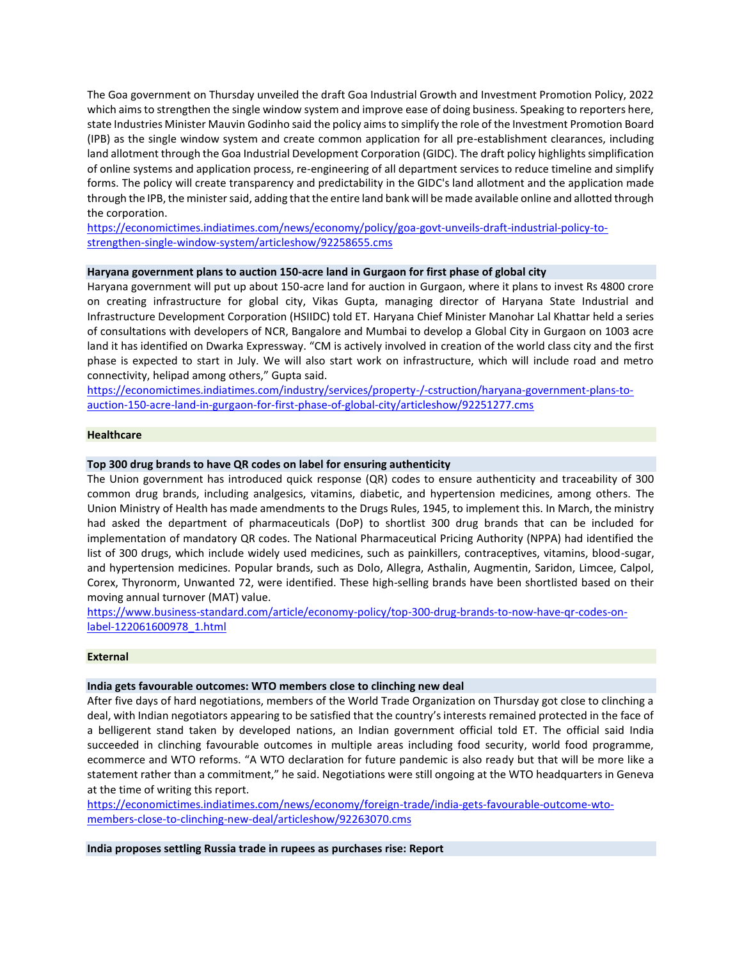The Goa government on Thursday unveiled the draft Goa Industrial Growth and Investment Promotion Policy, 2022 which aims to strengthen the single window system and improve ease of doing business. Speaking to reporters here, state Industries Minister Mauvin Godinho said the policy aims to simplify the role of the Investment Promotion Board (IPB) as the single window system and create common application for all pre-establishment clearances, including land allotment through the Goa Industrial Development Corporation (GIDC). The draft policy highlights simplification of online systems and application process, re-engineering of all department services to reduce timeline and simplify forms. The policy will create transparency and predictability in the GIDC's land allotment and the application made through the IPB, the minister said, adding that the entire land bank will be made available online and allotted through the corporation.

[https://economictimes.indiatimes.com/news/economy/policy/goa-govt-unveils-draft-industrial-policy-to](https://economictimes.indiatimes.com/news/economy/policy/goa-govt-unveils-draft-industrial-policy-to-strengthen-single-window-system/articleshow/92258655.cms)[strengthen-single-window-system/articleshow/92258655.cms](https://economictimes.indiatimes.com/news/economy/policy/goa-govt-unveils-draft-industrial-policy-to-strengthen-single-window-system/articleshow/92258655.cms)

# **Haryana government plans to auction 150-acre land in Gurgaon for first phase of global city**

Haryana government will put up about 150-acre land for auction in Gurgaon, where it plans to invest Rs 4800 crore on creating infrastructure for global city, Vikas Gupta, managing director of Haryana State Industrial and Infrastructure Development Corporation (HSIIDC) told ET. Haryana Chief Minister Manohar Lal Khattar held a series of consultations with developers of NCR, Bangalore and Mumbai to develop a Global City in Gurgaon on 1003 acre land it has identified on Dwarka Expressway. "CM is actively involved in creation of the world class city and the first phase is expected to start in July. We will also start work on infrastructure, which will include road and metro connectivity, helipad among others," Gupta said.

[https://economictimes.indiatimes.com/industry/services/property-/-cstruction/haryana-government-plans-to](https://economictimes.indiatimes.com/industry/services/property-/-cstruction/haryana-government-plans-to-auction-150-acre-land-in-gurgaon-for-first-phase-of-global-city/articleshow/92251277.cms)[auction-150-acre-land-in-gurgaon-for-first-phase-of-global-city/articleshow/92251277.cms](https://economictimes.indiatimes.com/industry/services/property-/-cstruction/haryana-government-plans-to-auction-150-acre-land-in-gurgaon-for-first-phase-of-global-city/articleshow/92251277.cms)

## **Healthcare**

# **Top 300 drug brands to have QR codes on label for ensuring authenticity**

The Union government has introduced quick response (QR) codes to ensure authenticity and traceability of 300 common drug brands, including analgesics, vitamins, diabetic, and hypertension medicines, among others. The Union Ministry of Health has made amendments to the Drugs Rules, 1945, to implement this. In March, the ministry had asked the department of pharmaceuticals (DoP) to shortlist 300 drug brands that can be included for implementation of mandatory QR codes. The National Pharmaceutical Pricing Authority (NPPA) had identified the list of 300 drugs, which include widely used medicines, such as painkillers, contraceptives, vitamins, blood-sugar, and hypertension medicines. Popular brands, such as Dolo, Allegra, Asthalin, Augmentin, Saridon, Limcee, Calpol, Corex, Thyronorm, Unwanted 72, were identified. These high-selling brands have been shortlisted based on their moving annual turnover (MAT) value.

[https://www.business-standard.com/article/economy-policy/top-300-drug-brands-to-now-have-qr-codes-on](https://www.business-standard.com/article/economy-policy/top-300-drug-brands-to-now-have-qr-codes-on-label-122061600978_1.html)[label-122061600978\\_1.html](https://www.business-standard.com/article/economy-policy/top-300-drug-brands-to-now-have-qr-codes-on-label-122061600978_1.html)

# **External**

# **India gets favourable outcomes: WTO members close to clinching new deal**

After five days of hard negotiations, members of the World Trade Organization on Thursday got close to clinching a deal, with Indian negotiators appearing to be satisfied that the country's interests remained protected in the face of a belligerent stand taken by developed nations, an Indian government official told ET. The official said India succeeded in clinching favourable outcomes in multiple areas including food security, world food programme, ecommerce and WTO reforms. "A WTO declaration for future pandemic is also ready but that will be more like a statement rather than a commitment," he said. Negotiations were still ongoing at the WTO headquarters in Geneva at the time of writing this report.

[https://economictimes.indiatimes.com/news/economy/foreign-trade/india-gets-favourable-outcome-wto](https://economictimes.indiatimes.com/news/economy/foreign-trade/india-gets-favourable-outcome-wto-members-close-to-clinching-new-deal/articleshow/92263070.cms)[members-close-to-clinching-new-deal/articleshow/92263070.cms](https://economictimes.indiatimes.com/news/economy/foreign-trade/india-gets-favourable-outcome-wto-members-close-to-clinching-new-deal/articleshow/92263070.cms)

**India proposes settling Russia trade in rupees as purchases rise: Report**